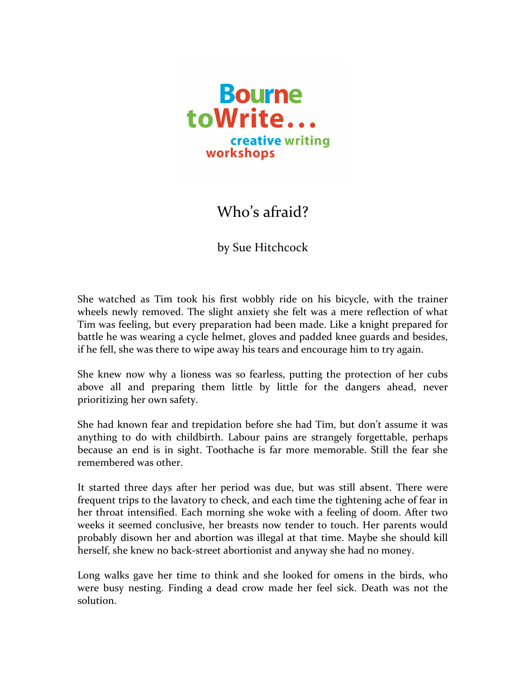

## Who's afraid?

by Sue Hitchcock

She watched as Tim took his first wobbly ride on his bicycle, with the trainer wheels newly removed. The slight anxiety she felt was a mere reflection of what Tim was feeling, but every preparation had been made. Like a knight prepared for battle he was wearing a cycle helmet, gloves and padded knee guards and besides, if he fell, she was there to wipe away his tears and encourage him to try again.

She knew now why a lioness was so fearless, putting the protection of her cubs above all and preparing them little by little for the dangers ahead, never prioritizing her own safety.

She had known fear and trepidation before she had Tim, but don't assume it was anything to do with childbirth. Labour pains are strangely forgettable, perhaps because an end is in sight. Toothache is far more memorable. Still the fear she remembered was other

It started three days after her period was due, but was still absent. There were frequent trips to the lavatory to check, and each time the tightening ache of fear in her throat intensified. Each morning she woke with a feeling of doom. After two weeks it seemed conclusive, her breasts now tender to touch. Her parents would probably disown her and abortion was illegal at that time. Maybe she should kill herself, she knew no back-street abortionist and anyway she had no money.

Long walks gave her time to think and she looked for omens in the birds, who were busy nesting. Finding a dead crow made her feel sick. Death was not the solution.